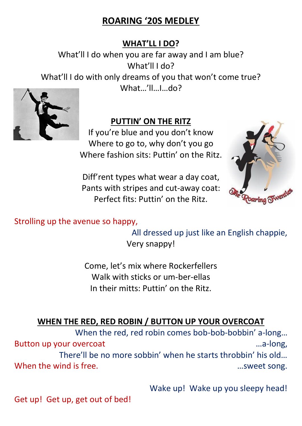# **ROARING '20S MEDLEY**

## **WHAT'LL I DO?**

What'll I do when you are far away and I am blue? What'll I do?

What'll I do with only dreams of you that won't come true?

What...'ll...l...do?



# **PUTTIN' ON THE RITZ**

If you're blue and you don't know Where to go to, why don't you go Where fashion sits: Puttin' on the Ritz.

Diff'rent types what wear a day coat, Pants with stripes and cut-away coat: Perfect fits: Puttin' on the Ritz.



### Strolling up the avenue so happy,

All dressed up just like an English chappie, Very snappy!

Come, let's mix where Rockerfellers Walk with sticks or um-ber-ellas In their mitts: Puttin' on the Ritz.

# **WHEN THE RED, RED ROBIN / BUTTON UP YOUR OVERCOAT**

When the red, red robin comes bob-bob-bobbin' a-long... Button up your overcoat measured with the state in the state of the state of the state in the state in the state of the state of the state in the state of the state of the state of the state of the state of the state of th There'll be no more sobbin' when he starts throbbin' his old… When the wind is free. **Example 20** in the wind is free.

Wake up! Wake up you sleepy head!

Get up! Get up, get out of bed!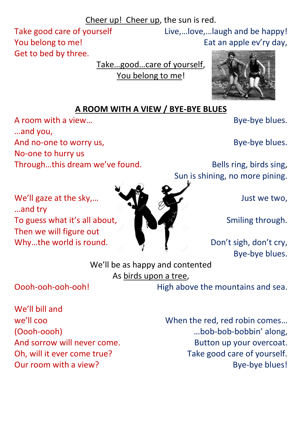#### Cheer up! Cheer up, the sun is red.

Take good care of yourself Live,...love,...laugh and be happy! You belong to me!<br>
Eat an apple ev'ry day, Get to bed by three.

Take…good…care of yourself, You belong to me!



## **A ROOM WITH A VIEW / BYE-BYE BLUES**

A room with a view... A room with a view... …and you, And no-one to worry us, and the state of the Bye-bye blues. No-one to hurry us Through...this dream we've found. Through...this dream we've found.

Sun is shining, no more pining.

Bye-bye blues.

To guess what it's all about,  $\Box$  Smiling through. Then we will figure out Why... the world is round.  $\blacksquare$  Don't sigh, don't cry,

We'll gaze at the sky,...  $\bullet$   $\bullet$   $\bullet$  Just we two,

We'll be as happy and contented As birds upon a tree,

…and try

Oooh-ooh-ooh! High above the mountains and sea.

We'll bill and

we'll coo we'll coo when the red, red robin comes... (Oooh-oooh) …bob-bob-bobbin' along, And sorrow will never come.<br>
Button up your overcoat. Oh, will it ever come true? Take good care of yourself. Our room with a view? Bye-bye blues!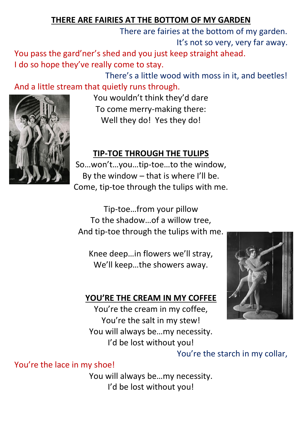### **THERE ARE FAIRIES AT THE BOTTOM OF MY GARDEN**

There are fairies at the bottom of my garden. It's not so very, very far away.

You pass the gard'ner's shed and you just keep straight ahead. I do so hope they've really come to stay.

There's a little wood with moss in it, and beetles! And a little stream that quietly runs through.

> You wouldn't think they'd dare To come merry-making there: Well they do! Yes they do!

## **TIP-TOE THROUGH THE TULIPS**

So…won't…you…tip-toe…to the window, By the window  $-$  that is where I'll be. Come, tip-toe through the tulips with me.

Tip-toe…from your pillow To the shadow…of a willow tree, And tip-toe through the tulips with me.

Knee deep…in flowers we'll stray, We'll keep…the showers away.



### **YOU'RE THE CREAM IN MY COFFEE**

You're the cream in my coffee, You're the salt in my stew! You will always be…my necessity. I'd be lost without you!

You're the starch in my collar,

#### You're the lace in my shoe!

You will always be…my necessity. I'd be lost without you!